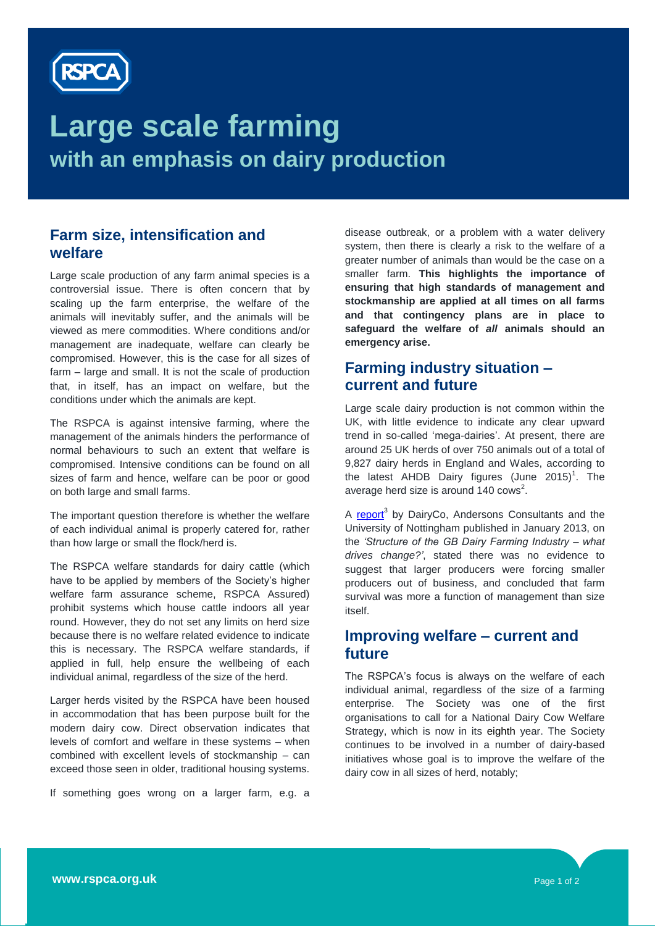

# **Large scale farming with an emphasis on dairy production**

### **Farm size, intensification and welfare**

Large scale production of any farm animal species is a controversial issue. There is often concern that by scaling up the farm enterprise, the welfare of the animals will inevitably suffer, and the animals will be viewed as mere commodities. Where conditions and/or management are inadequate, welfare can clearly be compromised. However, this is the case for all sizes of farm – large and small. It is not the scale of production that, in itself, has an impact on welfare, but the conditions under which the animals are kept.

The RSPCA is against intensive farming, where the management of the animals hinders the performance of normal behaviours to such an extent that welfare is compromised. Intensive conditions can be found on all sizes of farm and hence, welfare can be poor or good on both large and small farms.

The important question therefore is whether the welfare of each individual animal is properly catered for, rather than how large or small the flock/herd is.

The RSPCA welfare standards for dairy cattle (which have to be applied by members of the Society's higher welfare farm assurance scheme, RSPCA Assured) prohibit systems which house cattle indoors all year round. However, they do not set any limits on herd size because there is no welfare related evidence to indicate this is necessary. The RSPCA welfare standards, if applied in full, help ensure the wellbeing of each individual animal, regardless of the size of the herd.

Larger herds visited by the RSPCA have been housed in accommodation that has been purpose built for the modern dairy cow. Direct observation indicates that levels of comfort and welfare in these systems – when combined with excellent levels of stockmanship – can exceed those seen in older, traditional housing systems.

If something goes wrong on a larger farm, e.g. a

disease outbreak, or a problem with a water delivery system, then there is clearly a risk to the welfare of a greater number of animals than would be the case on a smaller farm. **This highlights the importance of ensuring that high standards of management and stockmanship are applied at all times on all farms and that contingency plans are in place to safeguard the welfare of** *all* **animals should an emergency arise.** 

## **Farming industry situation – current and future**

Large scale dairy production is not common within the UK, with little evidence to indicate any clear upward trend in so-called 'mega-dairies'. At present, there are around 25 UK herds of over 750 animals out of a total of 9,827 dairy herds in England and Wales, according to the latest AHDB Dairy figures (June  $2015$ <sup>1</sup>. The average herd size is around  $140 \text{ cows}^2$ .

A [report](file:///C:/Users/014991/Downloads/what_drives_change.pdf)<sup>3</sup> by DairyCo, Andersons Consultants and the University of Nottingham published in January 2013, on the *'Structure of the GB Dairy Farming Industry – what drives change?'*, stated there was no evidence to suggest that larger producers were forcing smaller producers out of business, and concluded that farm survival was more a function of management than size itself.

#### **Improving welfare – current and future**

The RSPCA's focus is always on the welfare of each individual animal, regardless of the size of a farming enterprise. The Society was one of the first organisations to call for a National Dairy Cow Welfare Strategy, which is now in its eighth year. The Society continues to be involved in a number of dairy-based initiatives whose goal is to improve the welfare of the dairy cow in all sizes of herd, notably;